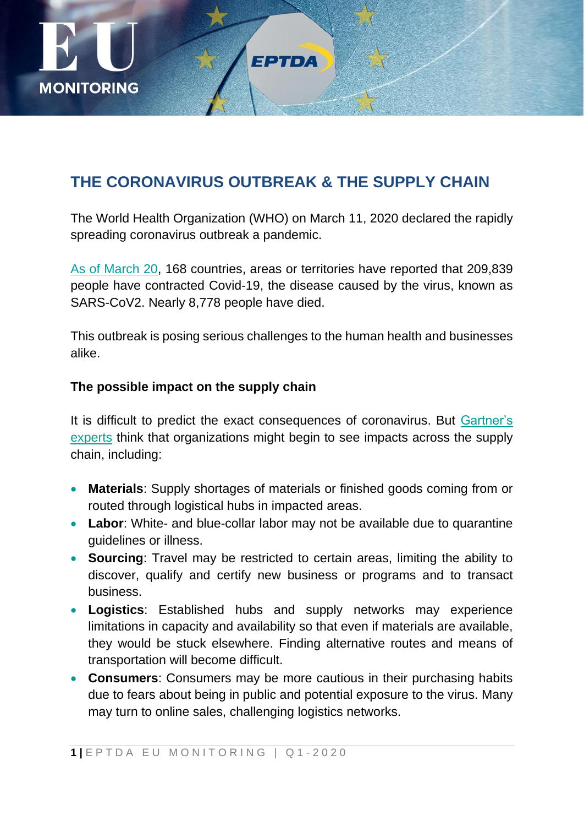

# **THE CORONAVIRUS OUTBREAK & THE SUPPLY CHAIN**

The World Health Organization (WHO) on March 11, 2020 declared the rapidly spreading coronavirus outbreak a pandemic.

[As of March 20,](https://experience.arcgis.com/experience/685d0ace521648f8a5beeeee1b9125cd) 168 countries, areas or territories have reported that 209,839 people have contracted Covid-19, the disease caused by the virus, known as SARS-CoV2. Nearly 8,778 people have died.

This outbreak is posing serious challenges to the human health and businesses alike.

## **The possible impact on the supply chain**

It is difficult to predict the exact consequences of coronavirus. But [Gartner's](https://www.gartner.com/smarterwithgartner/coronavirus-how-to-secure-your-supply-chain/)  [experts](https://www.gartner.com/smarterwithgartner/coronavirus-how-to-secure-your-supply-chain/) think that organizations might begin to see impacts across the supply chain, including:

- **Materials**: Supply shortages of materials or finished goods coming from or routed through logistical hubs in impacted areas.
- **Labor**: White- and blue-collar labor may not be available due to quarantine guidelines or illness.
- **Sourcing**: Travel may be restricted to certain areas, limiting the ability to discover, qualify and certify new business or programs and to transact business.
- **Logistics**: Established hubs and supply networks may experience limitations in capacity and availability so that even if materials are available, they would be stuck elsewhere. Finding alternative routes and means of transportation will become difficult.
- **Consumers**: Consumers may be more cautious in their purchasing habits due to fears about being in public and potential exposure to the virus. Many may turn to online sales, challenging logistics networks.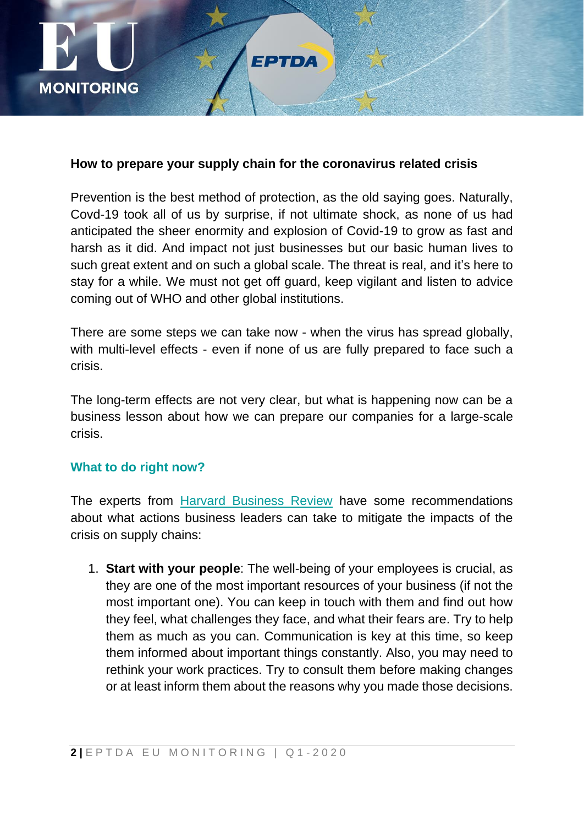

#### **How to prepare your supply chain for the coronavirus related crisis**

FPTDA

Prevention is the best method of protection, as the old saying goes. Naturally, Covd-19 took all of us by surprise, if not ultimate shock, as none of us had anticipated the sheer enormity and explosion of Covid-19 to grow as fast and harsh as it did. And impact not just businesses but our basic human lives to such great extent and on such a global scale. The threat is real, and it's here to stay for a while. We must not get off guard, keep vigilant and listen to advice coming out of WHO and other global institutions.

There are some steps we can take now - when the virus has spread globally, with multi-level effects - even if none of us are fully prepared to face such a crisis.

The long-term effects are not very clear, but what is happening now can be a business lesson about how we can prepare our companies for a large-scale crisis.

### **What to do right now?**

The experts from [Harvard Business Review](https://hbr.org/2020/02/prepare-your-supply-chain-for-coronavirus) have some recommendations about what actions business leaders can take to mitigate the impacts of the crisis on supply chains:

1. **Start with your people**: The well-being of your employees is crucial, as they are one of the most important resources of your business (if not the most important one). You can keep in touch with them and find out how they feel, what challenges they face, and what their fears are. Try to help them as much as you can. Communication is key at this time, so keep them informed about important things constantly. Also, you may need to rethink your work practices. Try to consult them before making changes or at least inform them about the reasons why you made those decisions.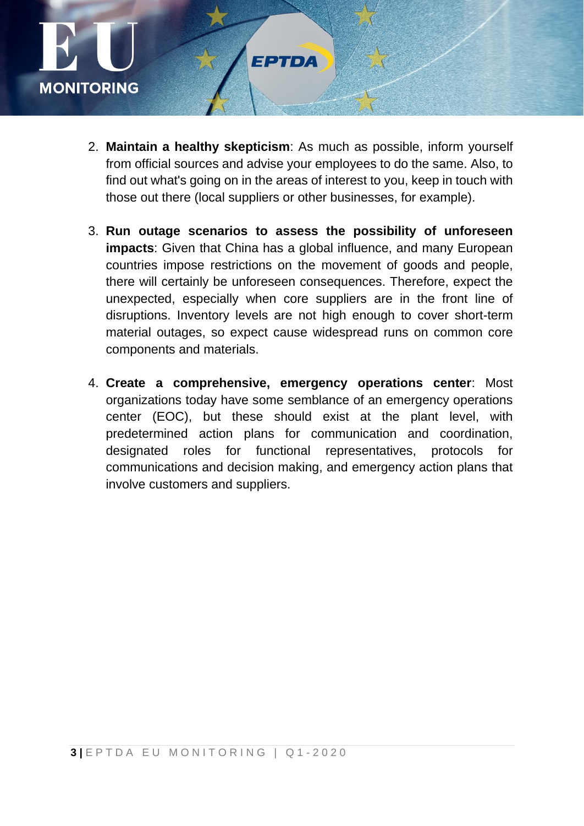

2. **Maintain a healthy skepticism**: As much as possible, inform yourself from official sources and advise your employees to do the same. Also, to find out what's going on in the areas of interest to you, keep in touch with those out there (local suppliers or other businesses, for example).

EPTDA

- 3. **Run outage scenarios to assess the possibility of unforeseen impacts**: Given that China has a global influence, and many European countries impose restrictions on the movement of goods and people, there will certainly be unforeseen consequences. Therefore, expect the unexpected, especially when core suppliers are in the front line of disruptions. Inventory levels are not high enough to cover short-term material outages, so expect cause widespread runs on common core components and materials.
- 4. **Create a comprehensive, emergency operations center**: Most organizations today have some semblance of an emergency operations center (EOC), but these should exist at the plant level, with predetermined action plans for communication and coordination, designated roles for functional representatives, protocols for communications and decision making, and emergency action plans that involve customers and suppliers.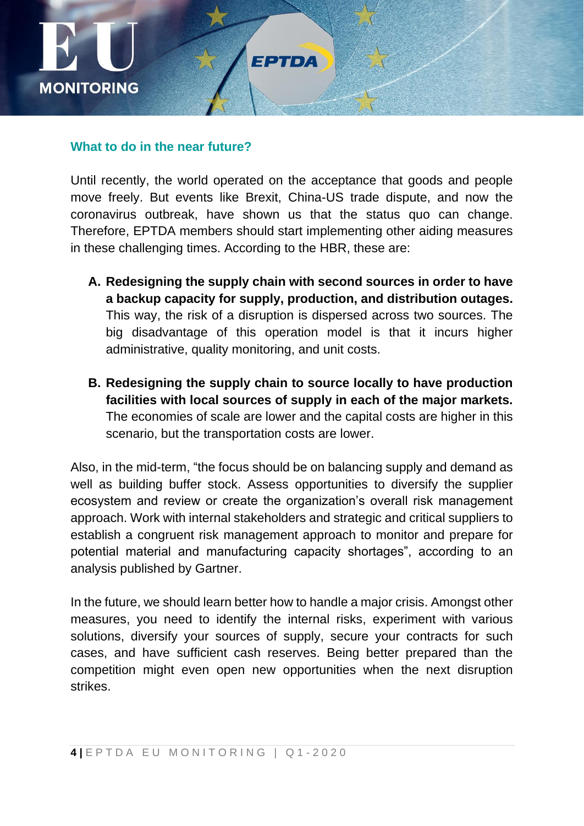

#### **What to do in the near future?**

Until recently, the world operated on the acceptance that goods and people move freely. But events like Brexit, China-US trade dispute, and now the coronavirus outbreak, have shown us that the status quo can change. Therefore, EPTDA members should start implementing other aiding measures in these challenging times. According to the HBR, these are:

- **A. Redesigning the supply chain with second sources in order to have a backup capacity for supply, production, and distribution outages.** This way, the risk of a disruption is dispersed across two sources. The big disadvantage of this operation model is that it incurs higher administrative, quality monitoring, and unit costs.
- **B. Redesigning the supply chain to source locally to have production facilities with local sources of supply in each of the major markets.** The economies of scale are lower and the capital costs are higher in this scenario, but the transportation costs are lower.

Also, in the mid-term, "the focus should be on balancing supply and demand as well as building buffer stock. Assess opportunities to diversify the supplier ecosystem and review or create the organization's overall risk management approach. Work with internal stakeholders and strategic and critical suppliers to establish a congruent risk management approach to monitor and prepare for potential material and manufacturing capacity shortages", according to an analysis published by Gartner.

In the future, we should learn better how to handle a major crisis. Amongst other measures, you need to identify the internal risks, experiment with various solutions, diversify your sources of supply, secure your contracts for such cases, and have sufficient cash reserves. Being better prepared than the competition might even open new opportunities when the next disruption strikes.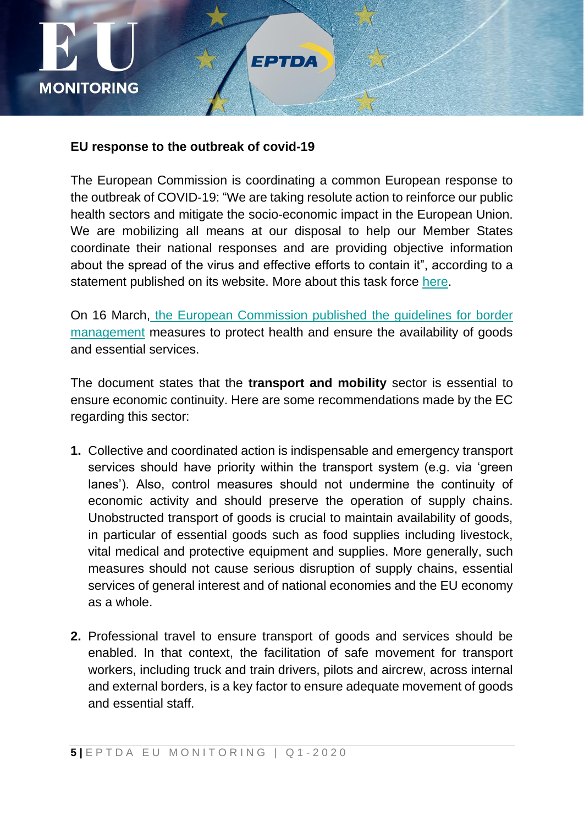

#### **EU response to the outbreak of covid-19**

The European Commission is coordinating a common European response to the outbreak of COVID-19: "We are taking resolute action to reinforce our public health sectors and mitigate the socio-economic impact in the European Union. We are mobilizing all means at our disposal to help our Member States coordinate their national responses and are providing objective information about the spread of the virus and effective efforts to contain it", according to a statement published on its website. More about this task force [here.](https://ec.europa.eu/info/live-work-travel-eu/health/coronavirus-response_en)

On 16 March, [the European Commission published](https://ec.europa.eu/home-affairs/sites/homeaffairs/files/what-we-do/policies/european-agenda-migration/20200316_covid-19-guidelines-for-border-management.pdf) the guidelines for border [management](https://ec.europa.eu/home-affairs/sites/homeaffairs/files/what-we-do/policies/european-agenda-migration/20200316_covid-19-guidelines-for-border-management.pdf) measures to protect health and ensure the availability of goods and essential services.

The document states that the **transport and mobility** sector is essential to ensure economic continuity. Here are some recommendations made by the EC regarding this sector:

- **1.** Collective and coordinated action is indispensable and emergency transport services should have priority within the transport system (e.g. via 'green lanes'). Also, control measures should not undermine the continuity of economic activity and should preserve the operation of supply chains. Unobstructed transport of goods is crucial to maintain availability of goods, in particular of essential goods such as food supplies including livestock, vital medical and protective equipment and supplies. More generally, such measures should not cause serious disruption of supply chains, essential services of general interest and of national economies and the EU economy as a whole.
- **2.** Professional travel to ensure transport of goods and services should be enabled. In that context, the facilitation of safe movement for transport workers, including truck and train drivers, pilots and aircrew, across internal and external borders, is a key factor to ensure adequate movement of goods and essential staff.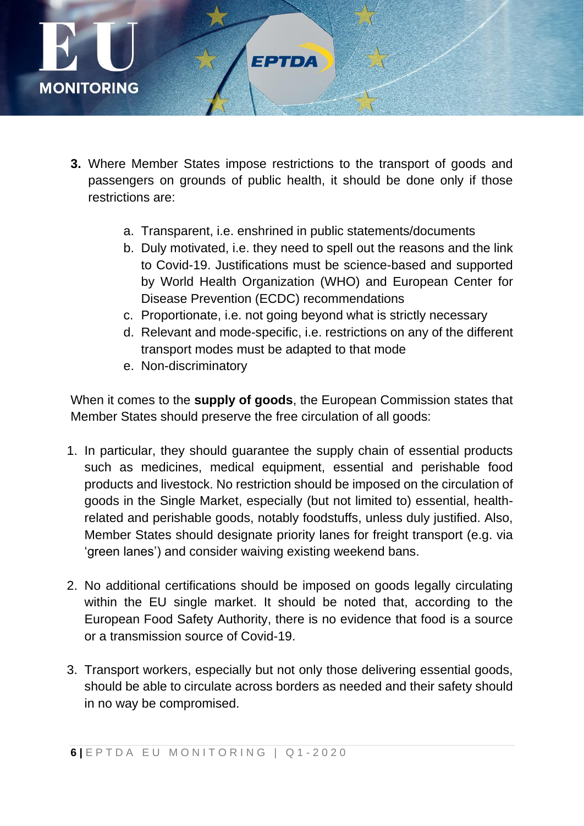

- **3.** Where Member States impose restrictions to the transport of goods and passengers on grounds of public health, it should be done only if those restrictions are:
	- a. Transparent, i.e. enshrined in public statements/documents
	- b. Duly motivated, i.e. they need to spell out the reasons and the link to Covid-19. Justifications must be science-based and supported by World Health Organization (WHO) and European Center for Disease Prevention (ECDC) recommendations
	- c. Proportionate, i.e. not going beyond what is strictly necessary
	- d. Relevant and mode-specific, i.e. restrictions on any of the different transport modes must be adapted to that mode
	- e. Non-discriminatory

When it comes to the **supply of goods**, the European Commission states that Member States should preserve the free circulation of all goods:

- 1. In particular, they should guarantee the supply chain of essential products such as medicines, medical equipment, essential and perishable food products and livestock. No restriction should be imposed on the circulation of goods in the Single Market, especially (but not limited to) essential, healthrelated and perishable goods, notably foodstuffs, unless duly justified. Also, Member States should designate priority lanes for freight transport (e.g. via 'green lanes') and consider waiving existing weekend bans.
- 2. No additional certifications should be imposed on goods legally circulating within the EU single market. It should be noted that, according to the European Food Safety Authority, there is no evidence that food is a source or a transmission source of Covid-19.
- 3. Transport workers, especially but not only those delivering essential goods, should be able to circulate across borders as needed and their safety should in no way be compromised.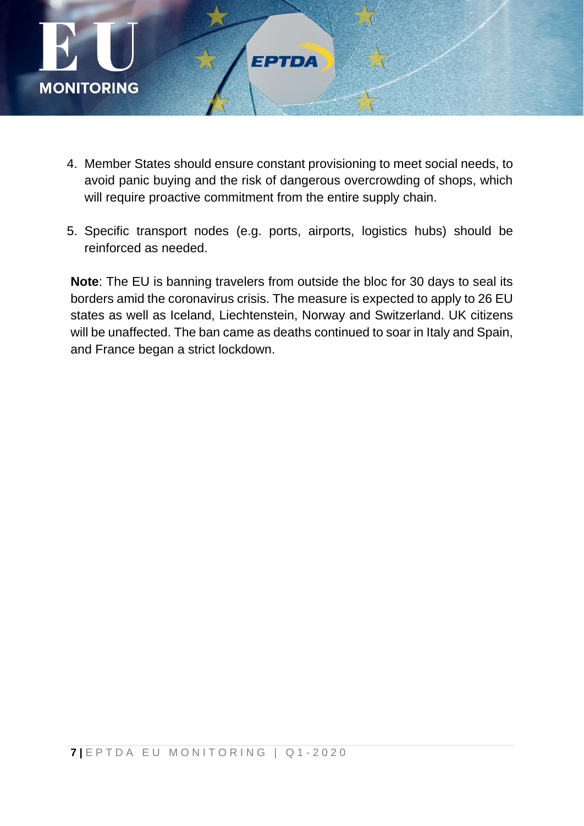

- 4. Member States should ensure constant provisioning to meet social needs, to avoid panic buying and the risk of dangerous overcrowding of shops, which will require proactive commitment from the entire supply chain.
- 5. Specific transport nodes (e.g. ports, airports, logistics hubs) should be reinforced as needed.

**Note**: The EU is banning travelers from outside the bloc for 30 days to seal its borders amid the coronavirus crisis. The measure is expected to apply to 26 EU states as well as Iceland, Liechtenstein, Norway and Switzerland. UK citizens will be unaffected. The ban came as deaths continued to soar in Italy and Spain, and France began a strict lockdown.